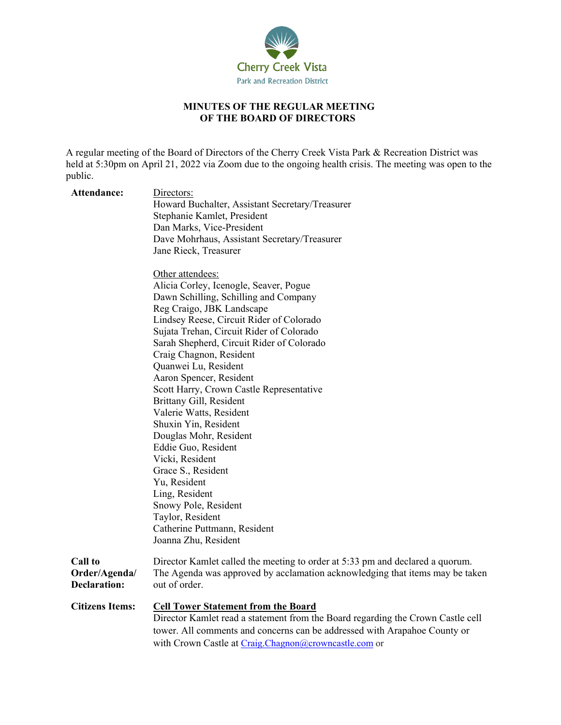

## **MINUTES OF THE REGULAR MEETING OF THE BOARD OF DIRECTORS**

A regular meeting of the Board of Directors of the Cherry Creek Vista Park & Recreation District was held at 5:30pm on April 21, 2022 via Zoom due to the ongoing health crisis. The meeting was open to the public.

| Attendance:                                            | Directors:<br>Howard Buchalter, Assistant Secretary/Treasurer<br>Stephanie Kamlet, President<br>Dan Marks, Vice-President<br>Dave Mohrhaus, Assistant Secretary/Treasurer<br>Jane Rieck, Treasurer<br>Other attendees: |
|--------------------------------------------------------|------------------------------------------------------------------------------------------------------------------------------------------------------------------------------------------------------------------------|
|                                                        | Alicia Corley, Icenogle, Seaver, Pogue<br>Dawn Schilling, Schilling and Company                                                                                                                                        |
|                                                        | Reg Craigo, JBK Landscape                                                                                                                                                                                              |
|                                                        | Lindsey Reese, Circuit Rider of Colorado                                                                                                                                                                               |
|                                                        | Sujata Trehan, Circuit Rider of Colorado                                                                                                                                                                               |
|                                                        | Sarah Shepherd, Circuit Rider of Colorado                                                                                                                                                                              |
|                                                        | Craig Chagnon, Resident                                                                                                                                                                                                |
|                                                        | Quanwei Lu, Resident                                                                                                                                                                                                   |
|                                                        | Aaron Spencer, Resident                                                                                                                                                                                                |
|                                                        | Scott Harry, Crown Castle Representative                                                                                                                                                                               |
|                                                        | Brittany Gill, Resident                                                                                                                                                                                                |
|                                                        | Valerie Watts, Resident                                                                                                                                                                                                |
|                                                        | Shuxin Yin, Resident                                                                                                                                                                                                   |
|                                                        | Douglas Mohr, Resident                                                                                                                                                                                                 |
|                                                        | Eddie Guo, Resident                                                                                                                                                                                                    |
|                                                        | Vicki, Resident                                                                                                                                                                                                        |
|                                                        | Grace S., Resident                                                                                                                                                                                                     |
|                                                        | Yu, Resident<br>Ling, Resident                                                                                                                                                                                         |
|                                                        | Snowy Pole, Resident                                                                                                                                                                                                   |
|                                                        | Taylor, Resident                                                                                                                                                                                                       |
|                                                        | Catherine Puttmann, Resident                                                                                                                                                                                           |
|                                                        | Joanna Zhu, Resident                                                                                                                                                                                                   |
|                                                        |                                                                                                                                                                                                                        |
| <b>Call to</b><br>Order/Agenda/<br><b>Declaration:</b> | Director Kamlet called the meeting to order at 5:33 pm and declared a quorum.<br>The Agenda was approved by acclamation acknowledging that items may be taken<br>out of order.                                         |
| <b>Citizens Items:</b>                                 | <b>Cell Tower Statement from the Board</b>                                                                                                                                                                             |
|                                                        | Director Kamlet read a statement from the Board regarding the Crown Castle cell                                                                                                                                        |
|                                                        | tower. All comments and concerns can be addressed with Arapahoe County or                                                                                                                                              |
|                                                        | with Crown Castle at Craig.Chagnon@crowncastle.com or                                                                                                                                                                  |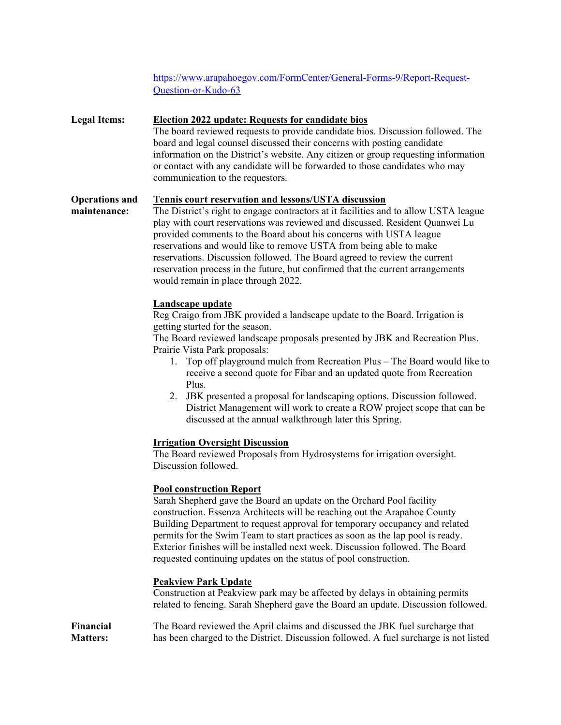[https://www.arapahoegov.com/FormCenter/General-Forms-9/Report-Request-](https://www.arapahoegov.com/FormCenter/General-Forms-9/Report-Request-Question-or-Kudo-63)[Question-or-Kudo-63](https://www.arapahoegov.com/FormCenter/General-Forms-9/Report-Request-Question-or-Kudo-63)

| <b>Legal Items:</b>                   | <b>Election 2022 update: Requests for candidate bios</b><br>The board reviewed requests to provide candidate bios. Discussion followed. The<br>board and legal counsel discussed their concerns with posting candidate<br>information on the District's website. Any citizen or group requesting information<br>or contact with any candidate will be forwarded to those candidates who may<br>communication to the requestors.                                                                                                                                                                                                          |
|---------------------------------------|------------------------------------------------------------------------------------------------------------------------------------------------------------------------------------------------------------------------------------------------------------------------------------------------------------------------------------------------------------------------------------------------------------------------------------------------------------------------------------------------------------------------------------------------------------------------------------------------------------------------------------------|
| <b>Operations and</b><br>maintenance: | <b>Tennis court reservation and lessons/USTA discussion</b><br>The District's right to engage contractors at it facilities and to allow USTA league<br>play with court reservations was reviewed and discussed. Resident Quanwei Lu<br>provided comments to the Board about his concerns with USTA league<br>reservations and would like to remove USTA from being able to make<br>reservations. Discussion followed. The Board agreed to review the current<br>reservation process in the future, but confirmed that the current arrangements<br>would remain in place through 2022.                                                    |
|                                       | Landscape update<br>Reg Craigo from JBK provided a landscape update to the Board. Irrigation is<br>getting started for the season.<br>The Board reviewed landscape proposals presented by JBK and Recreation Plus.<br>Prairie Vista Park proposals:<br>Top off playground mulch from Recreation Plus - The Board would like to<br>1.<br>receive a second quote for Fibar and an updated quote from Recreation<br>Plus.<br>2. JBK presented a proposal for landscaping options. Discussion followed.<br>District Management will work to create a ROW project scope that can be<br>discussed at the annual walkthrough later this Spring. |
|                                       | <b>Irrigation Oversight Discussion</b><br>The Board reviewed Proposals from Hydrosystems for irrigation oversight.<br>Discussion followed.                                                                                                                                                                                                                                                                                                                                                                                                                                                                                               |
|                                       | <b>Pool construction Report</b><br>Sarah Shepherd gave the Board an update on the Orchard Pool facility<br>construction. Essenza Architects will be reaching out the Arapahoe County<br>Building Department to request approval for temporary occupancy and related<br>permits for the Swim Team to start practices as soon as the lap pool is ready.<br>Exterior finishes will be installed next week. Discussion followed. The Board<br>requested continuing updates on the status of pool construction.                                                                                                                               |
|                                       | <b>Peakview Park Update</b><br>Construction at Peakview park may be affected by delays in obtaining permits<br>related to fencing. Sarah Shepherd gave the Board an update. Discussion followed.                                                                                                                                                                                                                                                                                                                                                                                                                                         |
| Financial<br><b>Matters:</b>          | The Board reviewed the April claims and discussed the JBK fuel surcharge that<br>has been charged to the District. Discussion followed. A fuel surcharge is not listed                                                                                                                                                                                                                                                                                                                                                                                                                                                                   |